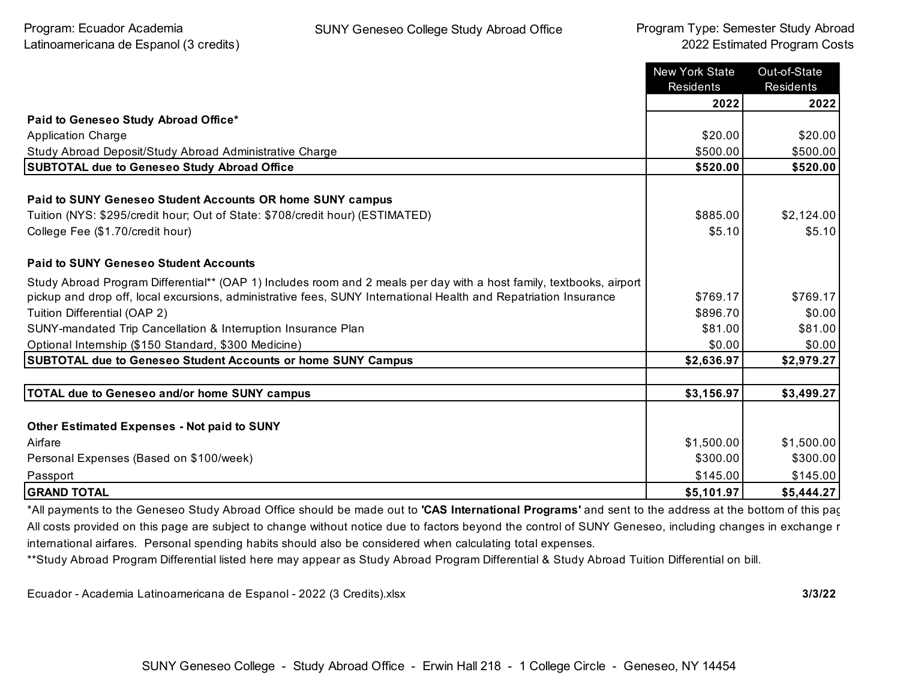|                                                                                                                      | New York State<br>Residents | Out-of-State<br>Residents |
|----------------------------------------------------------------------------------------------------------------------|-----------------------------|---------------------------|
|                                                                                                                      | 2022                        | 2022                      |
| Paid to Geneseo Study Abroad Office*                                                                                 |                             |                           |
| <b>Application Charge</b>                                                                                            | \$20.00                     | \$20.00                   |
| Study Abroad Deposit/Study Abroad Administrative Charge                                                              | \$500.00                    | \$500.00                  |
| <b>SUBTOTAL due to Geneseo Study Abroad Office</b>                                                                   | \$520.00                    | \$520.00                  |
| Paid to SUNY Geneseo Student Accounts OR home SUNY campus                                                            |                             |                           |
| Tuition (NYS: \$295/credit hour; Out of State: \$708/credit hour) (ESTIMATED)                                        | \$885.00                    | \$2,124.00                |
| College Fee (\$1.70/credit hour)                                                                                     | \$5.10                      | \$5.10                    |
| <b>Paid to SUNY Geneseo Student Accounts</b>                                                                         |                             |                           |
| Study Abroad Program Differential** (OAP 1) Includes room and 2 meals per day with a host family, textbooks, airport |                             |                           |
| pickup and drop off, local excursions, administrative fees, SUNY International Health and Repatriation Insurance     | \$769.17                    | \$769.17                  |
| Tuition Differential (OAP 2)                                                                                         | \$896.70                    | \$0.00                    |
| SUNY-mandated Trip Cancellation & Interruption Insurance Plan                                                        | \$81.00                     | \$81.00                   |
| Optional Internship (\$150 Standard, \$300 Medicine)                                                                 | \$0.00                      | \$0.00                    |
| SUBTOTAL due to Geneseo Student Accounts or home SUNY Campus                                                         | \$2,636.97                  | \$2,979.27                |
|                                                                                                                      |                             |                           |
| <b>TOTAL due to Geneseo and/or home SUNY campus</b>                                                                  | \$3,156.97                  | \$3,499.27                |
|                                                                                                                      |                             |                           |
| <b>Other Estimated Expenses - Not paid to SUNY</b>                                                                   |                             |                           |
| Airfare                                                                                                              | \$1,500.00                  | \$1,500.00                |
| Personal Expenses (Based on \$100/week)                                                                              | \$300.00                    | \$300.00                  |
| Passport                                                                                                             | \$145.00                    | \$145.00                  |
| <b>GRAND TOTAL</b>                                                                                                   | \$5,101.97                  | \$5,444.27                |

\*All payments to the Geneseo Study Abroad Office should be made out to **'CAS International Programs'** and sent to the address at the bottom of this page. All costs provided on this page are subject to change without notice due to factors beyond the control of SUNY Geneseo, including changes in exchange r international airfares. Personal spending habits should also be considered when calculating total expenses.

\*\*Study Abroad Program Differential listed here may appear as Study Abroad Program Differential & Study Abroad Tuition Differential on bill.

Ecuador - Academia Latinoamericana de Espanol - 2022 (3 Credits).xlsx **3/3/22**